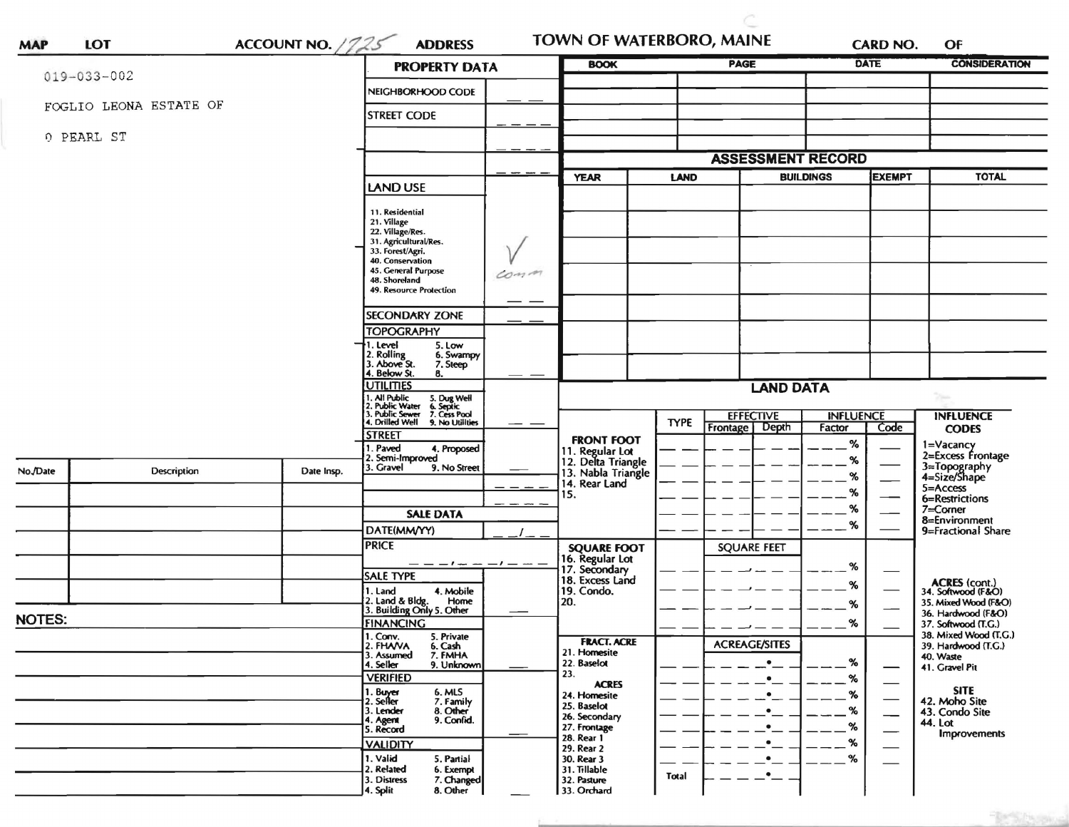|                   |                        |            | <b>PROPERTY DATA</b>                                                                                                      |                  | <b>BOOK</b>                                                 |             | <b>PAGE</b>                           | <b>DATE</b>      |                             | <b>CONSIDERATION</b>                                        |
|-------------------|------------------------|------------|---------------------------------------------------------------------------------------------------------------------------|------------------|-------------------------------------------------------------|-------------|---------------------------------------|------------------|-----------------------------|-------------------------------------------------------------|
| $019 - 033 - 002$ |                        |            | NEIGHBORHOOD CODE                                                                                                         |                  |                                                             |             |                                       |                  |                             |                                                             |
|                   | FOGLIO LEONA ESTATE OF |            | <b>STREET CODE</b>                                                                                                        |                  |                                                             |             |                                       |                  |                             |                                                             |
| 0 PEARL ST        |                        |            |                                                                                                                           |                  |                                                             |             |                                       |                  |                             |                                                             |
|                   |                        |            |                                                                                                                           |                  |                                                             |             | <b>ASSESSMENT RECORD</b>              |                  |                             |                                                             |
|                   |                        |            | LAND USE                                                                                                                  |                  | <b>YEAR</b>                                                 | <b>LAND</b> |                                       | <b>BUILDINGS</b> | <b>EXEMPT</b>               | <b>TOTAL</b>                                                |
|                   |                        |            | 11. Residential                                                                                                           |                  |                                                             |             |                                       |                  |                             |                                                             |
|                   |                        |            | 21. Village                                                                                                               |                  |                                                             |             |                                       |                  |                             |                                                             |
|                   |                        |            | 22. Village/Res.<br>31. Agricultural/Res.                                                                                 |                  |                                                             |             |                                       |                  |                             |                                                             |
|                   |                        |            | 33. Forest/Agri.<br>40. Conservation                                                                                      |                  |                                                             |             |                                       |                  |                             |                                                             |
|                   |                        |            | 45. General Purpose<br>48. Shoreland                                                                                      | Comm             |                                                             |             |                                       |                  |                             |                                                             |
|                   |                        |            | 49. Resource Protection                                                                                                   |                  |                                                             |             |                                       |                  |                             |                                                             |
|                   |                        |            | <b>SECONDARY ZONE</b>                                                                                                     |                  |                                                             |             |                                       |                  |                             |                                                             |
|                   |                        |            | <b>TOPOGRAPHY</b>                                                                                                         |                  |                                                             |             |                                       |                  |                             |                                                             |
|                   |                        |            | . Level<br>5. Low<br>2. Rolling<br>3. Above St.<br>6. Swampy<br>7. Steep                                                  |                  |                                                             |             |                                       |                  |                             |                                                             |
|                   |                        |            | 4. Below St.<br>8.<br><b>UTILITIES</b>                                                                                    | <b>LAND DATA</b> |                                                             |             |                                       |                  |                             |                                                             |
|                   |                        |            | 1. All Public<br>2. Public Water                                                                                          |                  |                                                             |             |                                       |                  |                             | $\gamma_{\rm iso}$                                          |
|                   |                        |            | 1. All Public 5. Dug Well<br>2. Public Water 6. Septic<br>3. Public Sewer 7. Cess Pool<br>4. Drilled Well 9. No Utilities |                  |                                                             | <b>TYPE</b> | <b>EFFECTIVE</b><br>Depth<br>Frontage |                  | <b>INFLUENCE</b><br>Code    | <b>INFLUENCE</b><br><b>CODES</b>                            |
|                   |                        |            | <b>STREET</b><br>. Paved<br>4. Proposed                                                                                   |                  | <b>FRONT FOOT</b>                                           |             |                                       | %                |                             | 1=Vacancy<br>2=Excess Frontage                              |
| No./Date          | <b>Description</b>     | Date Insp. | 2. Semi-Improved<br>3. Gravel<br>9. No Street                                                                             |                  | 11. Regular Lot<br>12. Delta Triangle<br>13. Nabla Triangle |             |                                       | %                |                             | 3=Topography<br>4=Size/Shape                                |
|                   |                        |            |                                                                                                                           |                  | 14. Rear Land                                               |             |                                       | %                |                             | 5=Access                                                    |
|                   |                        |            |                                                                                                                           |                  | 15.                                                         |             |                                       | %<br>%           |                             | 6=Restrictions<br>$7 =$ Corner                              |
|                   |                        |            | <b>SALE DATA</b>                                                                                                          |                  |                                                             |             |                                       | %                |                             | 8=Environment                                               |
|                   |                        |            | DATE(MM/YY)<br><b>PRICE</b>                                                                                               |                  | <b>SQUARE FOOT</b>                                          |             | <b>SQUARE FEET</b>                    |                  |                             | 9=Fractional Share                                          |
|                   |                        |            | $-1 - -$                                                                                                                  |                  | 16. Regular Lot                                             |             |                                       | %                |                             |                                                             |
|                   |                        |            | <b>SALE TYPE</b>                                                                                                          |                  | 17. Secondary<br>18. Excess Land                            |             |                                       | %                |                             |                                                             |
|                   |                        |            | 1. Land<br>4. Mobile<br>Home                                                                                              |                  | 19. Condo.<br>20.                                           |             |                                       | %                |                             | ACRES (cont.)<br>34. Softwood (F&O)<br>35. Mixed Wood (F&O) |
| <b>NOTES:</b>     |                        |            | 2. Land & Bldg. Home<br>3. Building Only 5. Other<br><b>FINANCING</b>                                                     |                  |                                                             |             |                                       | %                |                             | 36. Hardwood (F&O)                                          |
|                   |                        |            | 1. Conv.<br>5. Private                                                                                                    |                  | <b>FRACT. ACRE</b>                                          |             |                                       |                  |                             | 37. Softwood (T.G.)<br>38. Mixed Wood (T.G.)                |
|                   |                        |            | 2. FHAVA<br>6. Cash<br>3. Assumed<br>7. FMHA                                                                              |                  | 21. Homesite                                                |             | <b>ACREAGE/SITES</b>                  |                  |                             | 39. Hardwood (T.G.)<br>40. Waste                            |
|                   |                        |            | 9. Unknown<br>4. Seller<br><b>VERIFIED</b>                                                                                |                  | 22. Baselot<br>23.                                          |             | $\bullet$<br>٠                        | %<br>%           | —                           | 41. Gravel Pit                                              |
|                   |                        |            | 1. Buyer<br>6. MLS                                                                                                        |                  | <b>ACRES</b><br>24. Homesite                                |             | $\bullet$                             |                  | $\overbrace{\hspace{27mm}}$ | <b>SITE</b>                                                 |
|                   |                        |            | 2. Seller<br>7. Family<br>8. Other<br>3. Lender                                                                           |                  | 25. Baselot<br>26. Secondary                                |             |                                       |                  | $\overline{\phantom{0}}$    | 42. Moho Site<br>43. Condo Site                             |
|                   |                        |            | 9. Confid.<br>4. Agent<br>5. Record                                                                                       |                  | 27. Frontage                                                |             | $\bullet$                             |                  |                             | 44. Lot<br><b>Improvements</b>                              |
|                   |                        |            | <b>VALIDITY</b>                                                                                                           |                  | 28. Rear 1<br>29. Rear 2                                    |             | $\bullet$                             | %                |                             |                                                             |
|                   |                        |            | 1. Valid<br>5. Partial                                                                                                    |                  | 30. Rear 3                                                  |             | $\bullet$                             | %                |                             |                                                             |
|                   |                        |            | 2. Related<br>6. Exempt                                                                                                   |                  | 31. Tillable                                                | Total       | $\cdot$ $-$                           |                  |                             |                                                             |

"Recipience